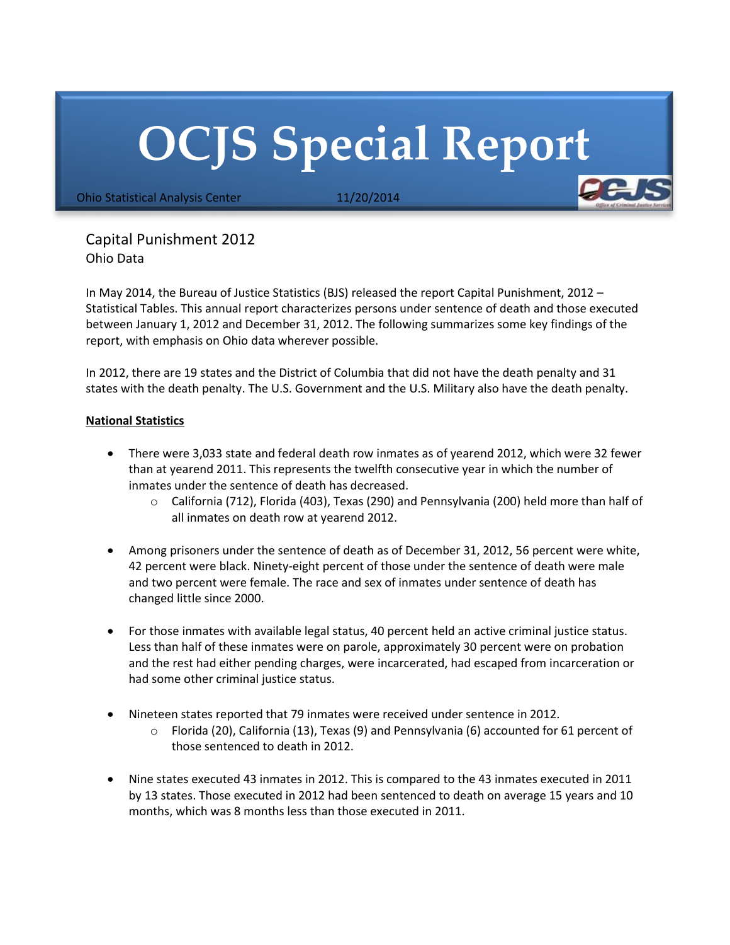## **OCJS Special Report**

Ohio Statistical Analysis Center 11/20/2014

Capital Punishment 2012 Ohio Data

In May 2014, the Bureau of Justice Statistics (BJS) released the report Capital Punishment, 2012 – Statistical Tables. This annual report characterizes persons under sentence of death and those executed between January 1, 2012 and December 31, 2012. The following summarizes some key findings of the report, with emphasis on Ohio data wherever possible.

In 2012, there are 19 states and the District of Columbia that did not have the death penalty and 31 states with the death penalty. The U.S. Government and the U.S. Military also have the death penalty.

## **National Statistics**

- There were 3,033 state and federal death row inmates as of yearend 2012, which were 32 fewer than at yearend 2011. This represents the twelfth consecutive year in which the number of inmates under the sentence of death has decreased.
	- o California (712), Florida (403), Texas (290) and Pennsylvania (200) held more than half of all inmates on death row at yearend 2012.
- Among prisoners under the sentence of death as of December 31, 2012, 56 percent were white, 42 percent were black. Ninety-eight percent of those under the sentence of death were male and two percent were female. The race and sex of inmates under sentence of death has changed little since 2000.
- For those inmates with available legal status, 40 percent held an active criminal justice status. Less than half of these inmates were on parole, approximately 30 percent were on probation and the rest had either pending charges, were incarcerated, had escaped from incarceration or had some other criminal justice status.
- Nineteen states reported that 79 inmates were received under sentence in 2012.
	- $\circ$  Florida (20), California (13), Texas (9) and Pennsylvania (6) accounted for 61 percent of those sentenced to death in 2012.
- Nine states executed 43 inmates in 2012. This is compared to the 43 inmates executed in 2011 by 13 states. Those executed in 2012 had been sentenced to death on average 15 years and 10 months, which was 8 months less than those executed in 2011.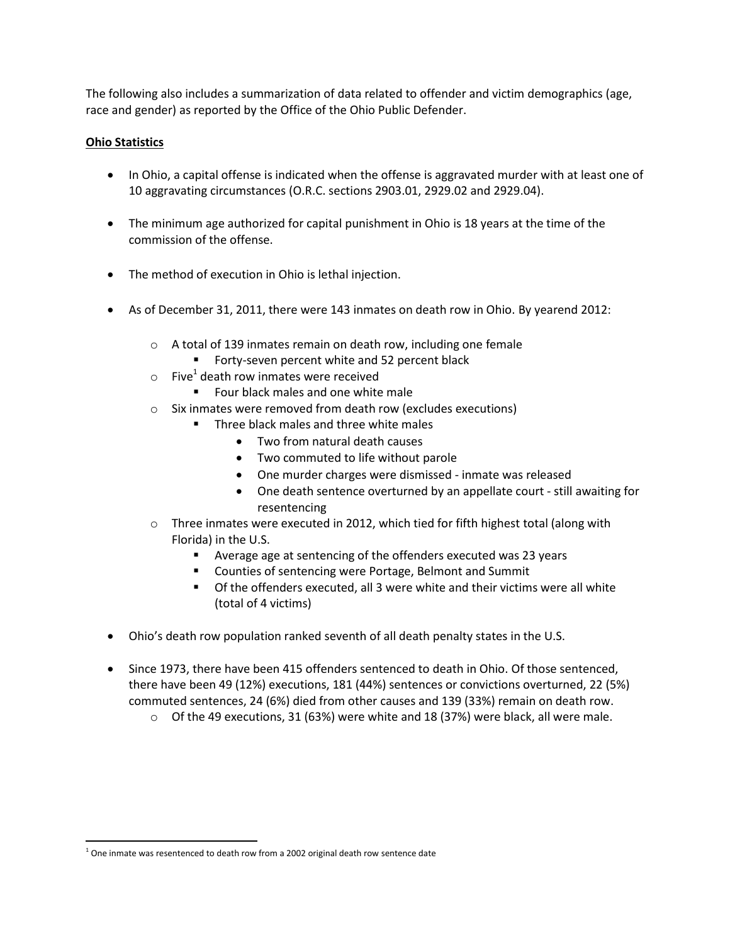The following also includes a summarization of data related to offender and victim demographics (age, race and gender) as reported by the Office of the Ohio Public Defender.

## **Ohio Statistics**

- In Ohio, a capital offense is indicated when the offense is aggravated murder with at least one of 10 aggravating circumstances (O.R.C. sections 2903.01, 2929.02 and 2929.04).
- The minimum age authorized for capital punishment in Ohio is 18 years at the time of the commission of the offense.
- The method of execution in Ohio is lethal injection.
- As of December 31, 2011, there were 143 inmates on death row in Ohio. By yearend 2012:
	- o A total of 139 inmates remain on death row, including one female
		- **Forty-seven percent white and 52 percent black**
	- $\circ$  Five<sup>1</sup> death row inmates were received
		- **Four black males and one white male**
	- o Six inmates were removed from death row (excludes executions)
		- **Three black males and three white males** 
			- Two from natural death causes
			- Two commuted to life without parole
			- One murder charges were dismissed inmate was released
			- One death sentence overturned by an appellate court still awaiting for resentencing
	- $\circ$  Three inmates were executed in 2012, which tied for fifth highest total (along with Florida) in the U.S.
		- Average age at sentencing of the offenders executed was 23 years
		- Counties of sentencing were Portage, Belmont and Summit
		- Of the offenders executed, all 3 were white and their victims were all white (total of 4 victims)
- Ohio's death row population ranked seventh of all death penalty states in the U.S.
- Since 1973, there have been 415 offenders sentenced to death in Ohio. Of those sentenced, there have been 49 (12%) executions, 181 (44%) sentences or convictions overturned, 22 (5%) commuted sentences, 24 (6%) died from other causes and 139 (33%) remain on death row.
	- $\circ$  Of the 49 executions, 31 (63%) were white and 18 (37%) were black, all were male.

l

 $1$  One inmate was resentenced to death row from a 2002 original death row sentence date